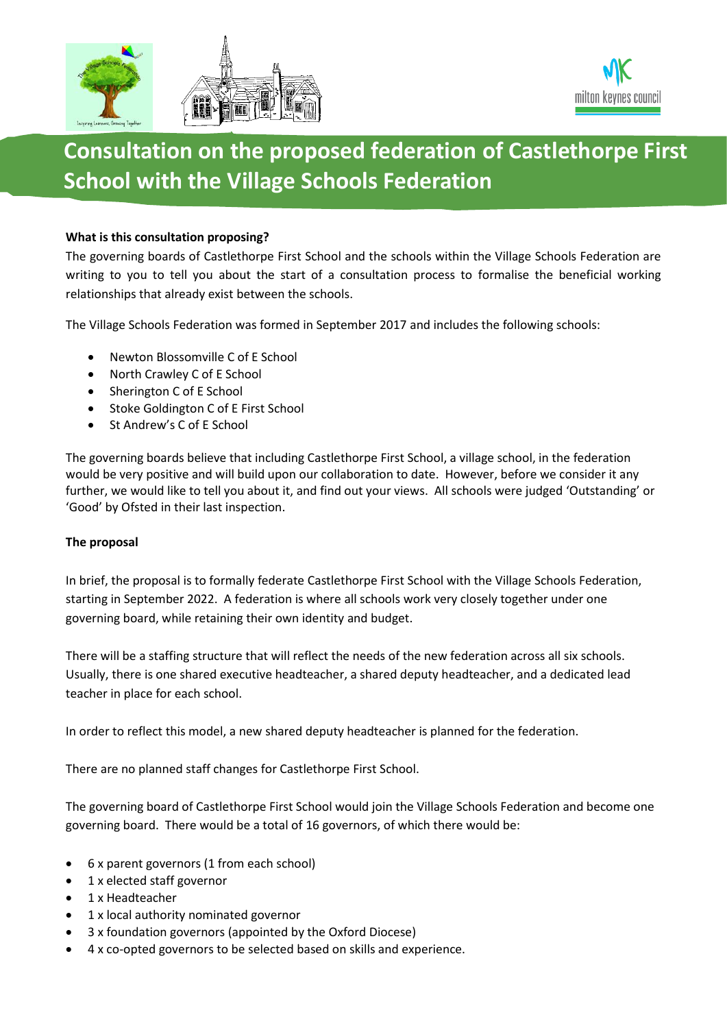



# **Consultation on the proposed federation of Castlethorpe First School with the Village Schools Federation**

# **What is this consultation proposing?**

The governing boards of Castlethorpe First School and the schools within the Village Schools Federation are writing to you to tell you about the start of a consultation process to formalise the beneficial working relationships that already exist between the schools.

The Village Schools Federation was formed in September 2017 and includes the following schools:

- Newton Blossomville C of E School
- North Crawley C of E School
- Sherington C of E School
- Stoke Goldington C of E First School
- St Andrew's C of E School

The governing boards believe that including Castlethorpe First School, a village school, in the federation would be very positive and will build upon our collaboration to date. However, before we consider it any further, we would like to tell you about it, and find out your views. All schools were judged 'Outstanding' or 'Good' by Ofsted in their last inspection.

## **The proposal**

In brief, the proposal is to formally federate Castlethorpe First School with the Village Schools Federation, starting in September 2022. A federation is where all schools work very closely together under one governing board, while retaining their own identity and budget.

There will be a staffing structure that will reflect the needs of the new federation across all six schools. Usually, there is one shared executive headteacher, a shared deputy headteacher, and a dedicated lead teacher in place for each school.

In order to reflect this model, a new shared deputy headteacher is planned for the federation.

There are no planned staff changes for Castlethorpe First School.

The governing board of Castlethorpe First School would join the Village Schools Federation and become one governing board. There would be a total of 16 governors, of which there would be:

- 6 x parent governors (1 from each school)
- 1 x elected staff governor
- 1 x Headteacher
- 1 x local authority nominated governor
- 3 x foundation governors (appointed by the Oxford Diocese)
- 4 x co-opted governors to be selected based on skills and experience.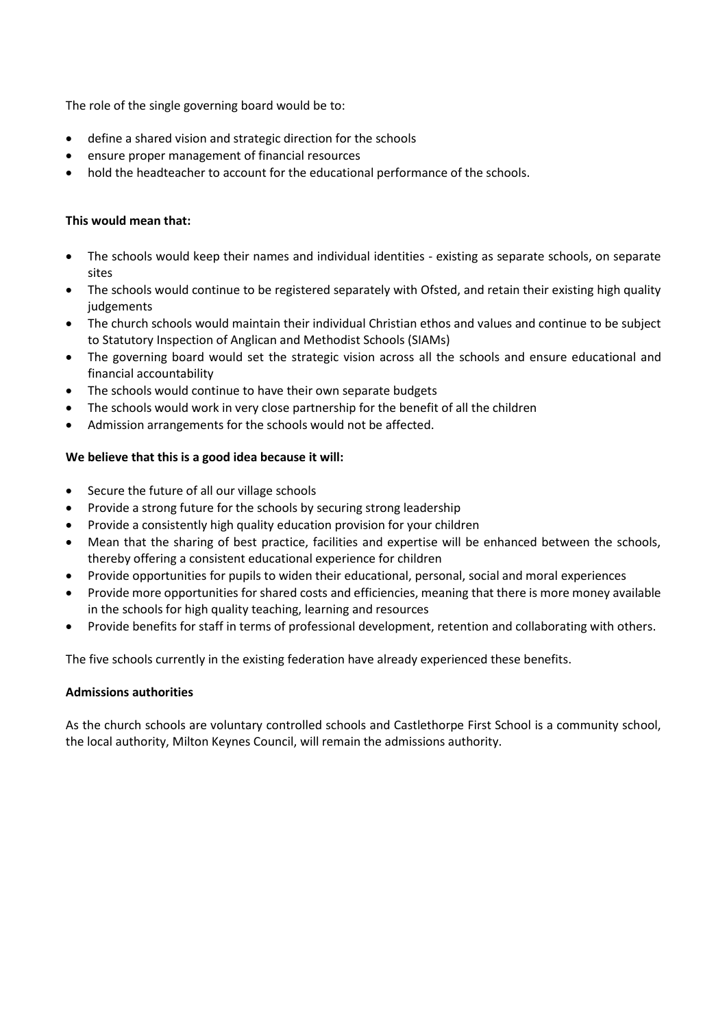The role of the single governing board would be to:

- define a shared vision and strategic direction for the schools
- ensure proper management of financial resources
- hold the headteacher to account for the educational performance of the schools.

## **This would mean that:**

- The schools would keep their names and individual identities existing as separate schools, on separate sites
- The schools would continue to be registered separately with Ofsted, and retain their existing high quality judgements
- The church schools would maintain their individual Christian ethos and values and continue to be subject to Statutory Inspection of Anglican and Methodist Schools (SIAMs)
- The governing board would set the strategic vision across all the schools and ensure educational and financial accountability
- The schools would continue to have their own separate budgets
- The schools would work in very close partnership for the benefit of all the children
- Admission arrangements for the schools would not be affected.

# **We believe that this is a good idea because it will:**

- Secure the future of all our village schools
- Provide a strong future for the schools by securing strong leadership
- Provide a consistently high quality education provision for your children
- Mean that the sharing of best practice, facilities and expertise will be enhanced between the schools, thereby offering a consistent educational experience for children
- Provide opportunities for pupils to widen their educational, personal, social and moral experiences
- Provide more opportunities for shared costs and efficiencies, meaning that there is more money available in the schools for high quality teaching, learning and resources
- Provide benefits for staff in terms of professional development, retention and collaborating with others.

The five schools currently in the existing federation have already experienced these benefits.

## **Admissions authorities**

As the church schools are voluntary controlled schools and Castlethorpe First School is a community school, the local authority, Milton Keynes Council, will remain the admissions authority.